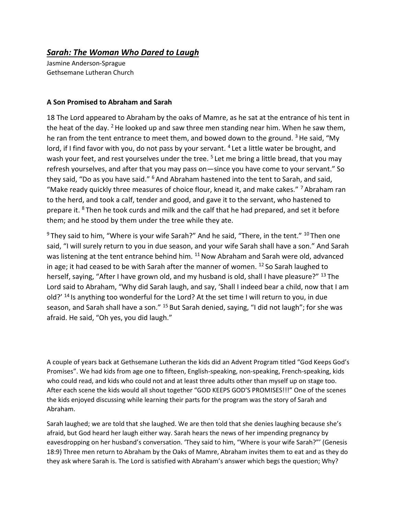## *Sarah: The Woman Who Dared to Laugh*

Jasmine Anderson-Sprague Gethsemane Lutheran Church

## **A Son Promised to Abraham and Sarah**

18 The Lord appeared to Abrahamby the oaks of Mamre, as he sat at the entrance of his tent in the heat of the day. <sup>2</sup> He looked up and saw three men standing near him. When he saw them, he ran from the tent entrance to meet them, and bowed down to the ground. <sup>3</sup> He said, "My lord, if I find favor with you, do not pass by your servant. <sup>4</sup> Let a little water be brought, and wash your feet, and rest yourselves under the tree. <sup>5</sup> Let me bring a little bread, that you may refresh yourselves, and after that you may pass on—since you have come to your servant." So they said, "Do as you have said." <sup>6</sup> And Abraham hastened into the tent to Sarah, and said, "Make ready quickly three measures of choice flour, knead it, and make cakes." <sup>7</sup> Abraham ran to the herd, and took a calf, tender and good, and gave it to the servant, who hastened to prepare it. <sup>8</sup> Then he took curds and milk and the calf that he had prepared, and set it before them; and he stood by them under the tree while they ate.

 $9$  They said to him, "Where is your wife Sarah?" And he said, "There, in the tent."  $10$  Then one said, "I will surely return to you in due season, and your wife Sarah shall have a son." And Sarah was listening at the tent entrance behind him. <sup>11</sup> Now Abraham and Sarah were old, advanced in age; it had ceased to be with Sarah after the manner of women.  $12$  So Sarah laughed to herself, saying, "After I have grown old, and my husband is old, shall I have pleasure?" <sup>13</sup> The Lord said to Abraham, "Why did Sarah laugh, and say, 'Shall I indeed bear a child, now that I am old?'  $^{14}$  Is anything too wonderful for the Lord? At the set time I will return to you, in due season, and Sarah shall have a son." <sup>15</sup> But Sarah denied, saying, "I did not laugh"; for she was afraid. He said, "Oh yes, you did laugh."

A couple of years back at Gethsemane Lutheran the kids did an Advent Program titled "God Keeps God's Promises". We had kids from age one to fifteen, English-speaking, non-speaking, French-speaking, kids who could read, and kids who could not and at least three adults other than myself up on stage too. After each scene the kids would all shout together "GOD KEEPS GOD'S PROMISES!!!" One of the scenes the kids enjoyed discussing while learning their parts for the program was the story of Sarah and Abraham.

Sarah laughed; we are told that she laughed. We are then told that she denies laughing because she's afraid, but God heard her laugh either way. Sarah hears the news of her impending pregnancy by eavesdropping on her husband's conversation. 'They said to him, "Where is your wife Sarah?"' (Genesis 18:9) Three men return to Abraham by the Oaks of Mamre, Abraham invites them to eat and as they do they ask where Sarah is. The Lord is satisfied with Abraham's answer which begs the question; Why?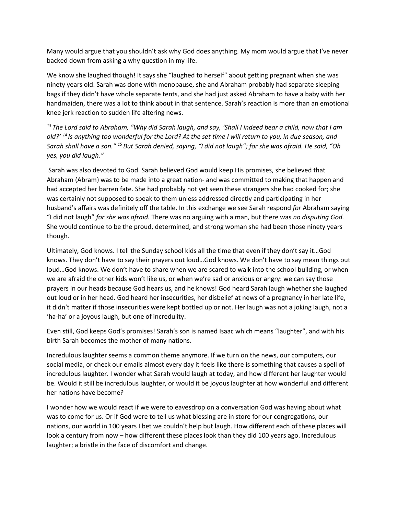Many would argue that you shouldn't ask why God does anything. My mom would argue that I've never backed down from asking a why question in my life.

We know she laughed though! It says she "laughed to herself" about getting pregnant when she was ninety years old. Sarah was done with menopause, she and Abraham probably had separate sleeping bags if they didn't have whole separate tents, and she had just asked Abraham to have a baby with her handmaiden, there was a lot to think about in that sentence. Sarah's reaction is more than an emotional knee jerk reaction to sudden life altering news.

*<sup>13</sup> The Lord said to Abraham, "Why did Sarah laugh, and say, 'Shall I indeed bear a child, now that I am old?' <sup>14</sup> Is anything too wonderful for the Lord? At the set time I will return to you, in due season, and Sarah shall have a son." <sup>15</sup> But Sarah denied, saying, "I did not laugh"; for she was afraid. He said, "Oh yes, you did laugh."*

Sarah was also devoted to God. Sarah believed God would keep His promises, she believed that Abraham (Abram) was to be made into a great nation- and was committed to making that happen and had accepted her barren fate. She had probably not yet seen these strangers she had cooked for; she was certainly not supposed to speak to them unless addressed directly and participating in her husband's affairs was definitely off the table. In this exchange we see Sarah respond *for* Abraham saying "I did not laugh" *for she was afraid.* There was no arguing with a man, but there was *no disputing God.* She would continue to be the proud, determined, and strong woman she had been those ninety years though.

Ultimately, God knows. I tell the Sunday school kids all the time that even if they don't say it…God knows. They don't have to say their prayers out loud…God knows. We don't have to say mean things out loud…God knows. We don't have to share when we are scared to walk into the school building, or when we are afraid the other kids won't like us, or when we're sad or anxious or angry: we can say those prayers in our heads because God hears us, and he knows! God heard Sarah laugh whether she laughed out loud or in her head. God heard her insecurities, her disbelief at news of a pregnancy in her late life, it didn't matter if those insecurities were kept bottled up or not. Her laugh was not a joking laugh, not a 'ha-ha' or a joyous laugh, but one of incredulity.

Even still, God keeps God's promises! Sarah's son is named Isaac which means "laughter", and with his birth Sarah becomes the mother of many nations.

Incredulous laughter seems a common theme anymore. If we turn on the news, our computers, our social media, or check our emails almost every day it feels like there is something that causes a spell of incredulous laughter. I wonder what Sarah would laugh at today, and how different her laughter would be. Would it still be incredulous laughter, or would it be joyous laughter at how wonderful and different her nations have become?

I wonder how we would react if we were to eavesdrop on a conversation God was having about what was to come for us. Or if God were to tell us what blessing are in store for our congregations, our nations, our world in 100 years I bet we couldn't help but laugh. How different each of these places will look a century from now – how different these places look than they did 100 years ago. Incredulous laughter; a bristle in the face of discomfort and change.